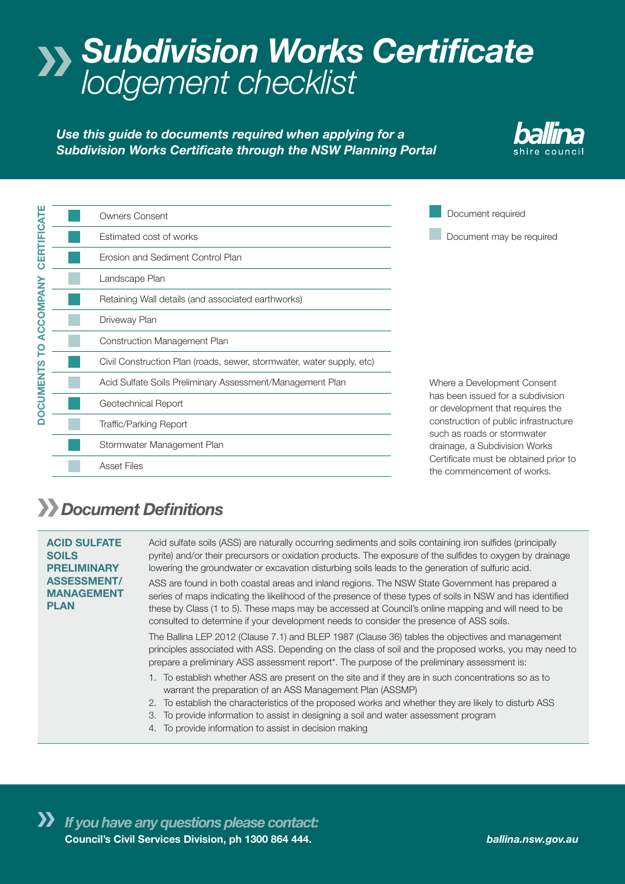## *Subdivision Works Certificate lodgement checklist*

*Use this guide to documents required when applying for a Subdivision Works Certificate through the NSW Planning Portal*



| <b>CERTIFICATE</b><br>ACCOMPANY<br>Ō | <b>Owners Consent</b>                                                 | Document required                                                                                                                                                                                                                                                                    |  |
|--------------------------------------|-----------------------------------------------------------------------|--------------------------------------------------------------------------------------------------------------------------------------------------------------------------------------------------------------------------------------------------------------------------------------|--|
|                                      | Estimated cost of works                                               | Document may be required                                                                                                                                                                                                                                                             |  |
|                                      | Erosion and Sediment Control Plan                                     |                                                                                                                                                                                                                                                                                      |  |
|                                      | Landscape Plan                                                        |                                                                                                                                                                                                                                                                                      |  |
|                                      | Retaining Wall details (and associated earthworks)                    | Where a Development Consent<br>has been issued for a subdivision<br>or development that requires the<br>construction of public infrastructure<br>such as roads or stormwater<br>drainage, a Subdivision Works<br>Certificate must be obtained prior to<br>the commencement of works. |  |
|                                      | Driveway Plan                                                         |                                                                                                                                                                                                                                                                                      |  |
|                                      | Construction Management Plan                                          |                                                                                                                                                                                                                                                                                      |  |
| ທ                                    | Civil Construction Plan (roads, sewer, stormwater, water supply, etc) |                                                                                                                                                                                                                                                                                      |  |
| <b>DOCUMENT</b>                      | Acid Sulfate Soils Preliminary Assessment/Management Plan             |                                                                                                                                                                                                                                                                                      |  |
|                                      | Geotechnical Report                                                   |                                                                                                                                                                                                                                                                                      |  |
|                                      | <b>Traffic/Parking Report</b>                                         |                                                                                                                                                                                                                                                                                      |  |
|                                      | Stormwater Management Plan                                            |                                                                                                                                                                                                                                                                                      |  |
|                                      | <b>Asset Files</b>                                                    |                                                                                                                                                                                                                                                                                      |  |
|                                      |                                                                       |                                                                                                                                                                                                                                                                                      |  |

## *Document Definitions*

## ACID SULFATE **SOILS PRELIMINARY** ASSESSMENT/ MANAGEMENT PLAN

Acid sulfate soils (ASS) are naturally occurring sediments and soils containing iron sulfides (principally pyrite) and/or their precursors or oxidation products. The exposure of the sulfides to oxygen by drainage lowering the groundwater or excavation disturbing soils leads to the generation of sulfuric acid.

ASS are found in both coastal areas and inland regions. The NSW State Government has prepared a series of maps indicating the likelihood of the presence of these types of soils in NSW and has identified these by Class (1 to 5). These maps may be accessed at Council's online mapping and will need to be consulted to determine if your development needs to consider the presence of ASS soils.

The Ballina LEP 2012 (Clause 7.1) and BLEP 1987 (Clause 36) tables the objectives and management principles associated with ASS. Depending on the class of soil and the proposed works, you may need to prepare a preliminary ASS assessment report\*. The purpose of the preliminary assessment is:

- 1. To establish whether ASS are present on the site and if they are in such concentrations so as to warrant the preparation of an ASS Management Plan (ASSMP)
- 2. To establish the characteristics of the proposed works and whether they are likely to disturb ASS
- 3. To provide information to assist in designing a soil and water assessment program
- 4. To provide information to assist in decision making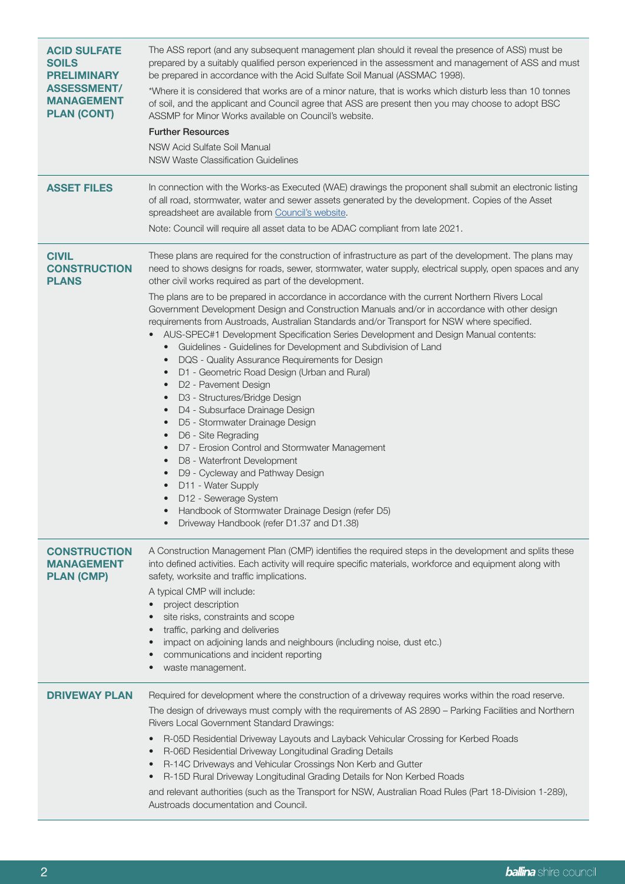<span id="page-1-0"></span>

| <b>ACID SULFATE</b><br><b>SOILS</b><br><b>PRELIMINARY</b><br><b>ASSESSMENT/</b><br><b>MANAGEMENT</b><br><b>PLAN (CONT)</b> | The ASS report (and any subsequent management plan should it reveal the presence of ASS) must be<br>prepared by a suitably qualified person experienced in the assessment and management of ASS and must<br>be prepared in accordance with the Acid Sulfate Soil Manual (ASSMAC 1998).<br>*Where it is considered that works are of a minor nature, that is works which disturb less than 10 tonnes<br>of soil, and the applicant and Council agree that ASS are present then you may choose to adopt BSC<br>ASSMP for Minor Works available on Council's website.<br><b>Further Resources</b><br>NSW Acid Sulfate Soil Manual<br><b>NSW Waste Classification Guidelines</b>                                                                                                                                                                                                                                                                                                                                                                                                                                                                                                                                                                                                                                                                                                                                                                                      |
|----------------------------------------------------------------------------------------------------------------------------|-------------------------------------------------------------------------------------------------------------------------------------------------------------------------------------------------------------------------------------------------------------------------------------------------------------------------------------------------------------------------------------------------------------------------------------------------------------------------------------------------------------------------------------------------------------------------------------------------------------------------------------------------------------------------------------------------------------------------------------------------------------------------------------------------------------------------------------------------------------------------------------------------------------------------------------------------------------------------------------------------------------------------------------------------------------------------------------------------------------------------------------------------------------------------------------------------------------------------------------------------------------------------------------------------------------------------------------------------------------------------------------------------------------------------------------------------------------------|
| <b>ASSET FILES</b>                                                                                                         | In connection with the Works-as Executed (WAE) drawings the proponent shall submit an electronic listing<br>of all road, stormwater, water and sewer assets generated by the development. Copies of the Asset<br>spreadsheet are available from Council's website.<br>Note: Council will require all asset data to be ADAC compliant from late 2021.                                                                                                                                                                                                                                                                                                                                                                                                                                                                                                                                                                                                                                                                                                                                                                                                                                                                                                                                                                                                                                                                                                              |
| <b>CIVIL</b><br><b>CONSTRUCTION</b><br><b>PLANS</b>                                                                        | These plans are required for the construction of infrastructure as part of the development. The plans may<br>need to shows designs for roads, sewer, stormwater, water supply, electrical supply, open spaces and any<br>other civil works required as part of the development.<br>The plans are to be prepared in accordance in accordance with the current Northern Rivers Local<br>Government Development Design and Construction Manuals and/or in accordance with other design<br>requirements from Austroads, Australian Standards and/or Transport for NSW where specified.<br>AUS-SPEC#1 Development Specification Series Development and Design Manual contents:<br>$\bullet$<br>Guidelines - Guidelines for Development and Subdivision of Land<br>$\bullet$<br>DQS - Quality Assurance Requirements for Design<br>$\bullet$<br>D1 - Geometric Road Design (Urban and Rural)<br>$\bullet$<br>D2 - Pavement Design<br>$\bullet$<br>D3 - Structures/Bridge Design<br>$\bullet$<br>D4 - Subsurface Drainage Design<br>$\bullet$<br>D5 - Stormwater Drainage Design<br>$\bullet$<br>D6 - Site Regrading<br>$\bullet$<br>D7 - Erosion Control and Stormwater Management<br>$\bullet$<br>D8 - Waterfront Development<br>$\bullet$<br>D9 - Cycleway and Pathway Design<br>$\bullet$<br>D11 - Water Supply<br>$\bullet$<br>D12 - Sewerage System<br>$\bullet$<br>Handbook of Stormwater Drainage Design (refer D5)<br>Driveway Handbook (refer D1.37 and D1.38) |
| <b>CONSTRUCTION</b><br><b>MANAGEMENT</b><br><b>PLAN (CMP)</b>                                                              | A Construction Management Plan (CMP) identifies the required steps in the development and splits these<br>into defined activities. Each activity will require specific materials, workforce and equipment along with<br>safety, worksite and traffic implications.<br>A typical CMP will include:<br>project description<br>site risks, constraints and scope<br>traffic, parking and deliveries<br>impact on adjoining lands and neighbours (including noise, dust etc.)<br>communications and incident reporting<br>waste management.                                                                                                                                                                                                                                                                                                                                                                                                                                                                                                                                                                                                                                                                                                                                                                                                                                                                                                                           |
| <b>DRIVEWAY PLAN</b>                                                                                                       | Required for development where the construction of a driveway requires works within the road reserve.<br>The design of driveways must comply with the requirements of AS 2890 - Parking Facilities and Northern<br>Rivers Local Government Standard Drawings:<br>R-05D Residential Driveway Layouts and Layback Vehicular Crossing for Kerbed Roads<br>$\bullet$<br>R-06D Residential Driveway Longitudinal Grading Details<br>R-14C Driveways and Vehicular Crossings Non Kerb and Gutter<br>$\bullet$<br>R-15D Rural Driveway Longitudinal Grading Details for Non Kerbed Roads<br>٠<br>and relevant authorities (such as the Transport for NSW, Australian Road Rules (Part 18-Division 1-289),<br>Austroads documentation and Council.                                                                                                                                                                                                                                                                                                                                                                                                                                                                                                                                                                                                                                                                                                                        |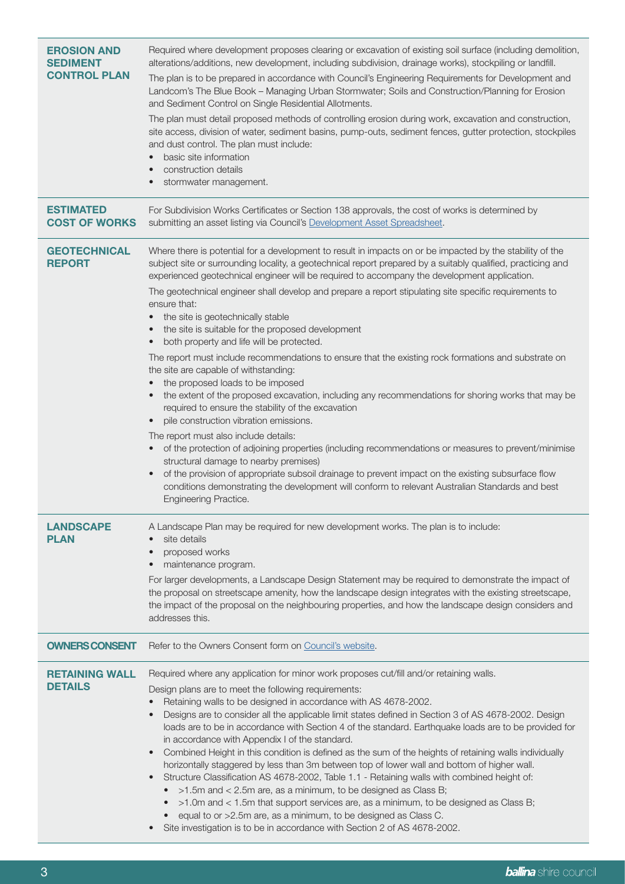<span id="page-2-4"></span><span id="page-2-3"></span><span id="page-2-2"></span><span id="page-2-1"></span><span id="page-2-0"></span>

| <b>EROSION AND</b><br><b>SEDIMENT</b><br><b>CONTROL PLAN</b> | Required where development proposes clearing or excavation of existing soil surface (including demolition,<br>alterations/additions, new development, including subdivision, drainage works), stockpiling or landfill.<br>The plan is to be prepared in accordance with Council's Engineering Requirements for Development and<br>Landcom's The Blue Book - Managing Urban Stormwater; Soils and Construction/Planning for Erosion<br>and Sediment Control on Single Residential Allotments.<br>The plan must detail proposed methods of controlling erosion during work, excavation and construction,<br>site access, division of water, sediment basins, pump-outs, sediment fences, gutter protection, stockpiles<br>and dust control. The plan must include:<br>basic site information<br>٠<br>construction details<br>٠<br>stormwater management.<br>$\bullet$                                                                                                                                                                          |
|--------------------------------------------------------------|----------------------------------------------------------------------------------------------------------------------------------------------------------------------------------------------------------------------------------------------------------------------------------------------------------------------------------------------------------------------------------------------------------------------------------------------------------------------------------------------------------------------------------------------------------------------------------------------------------------------------------------------------------------------------------------------------------------------------------------------------------------------------------------------------------------------------------------------------------------------------------------------------------------------------------------------------------------------------------------------------------------------------------------------|
| <b>ESTIMATED</b><br><b>COST OF WORKS</b>                     | For Subdivision Works Certificates or Section 138 approvals, the cost of works is determined by<br>submitting an asset listing via Council's Development Asset Spreadsheet.                                                                                                                                                                                                                                                                                                                                                                                                                                                                                                                                                                                                                                                                                                                                                                                                                                                                  |
| <b>GEOTECHNICAL</b><br><b>REPORT</b>                         | Where there is potential for a development to result in impacts on or be impacted by the stability of the<br>subject site or surrounding locality, a geotechnical report prepared by a suitably qualified, practicing and<br>experienced geotechnical engineer will be required to accompany the development application.<br>The geotechnical engineer shall develop and prepare a report stipulating site specific requirements to<br>ensure that:                                                                                                                                                                                                                                                                                                                                                                                                                                                                                                                                                                                          |
|                                                              | the site is geotechnically stable<br>$\bullet$<br>the site is suitable for the proposed development<br>$\bullet$                                                                                                                                                                                                                                                                                                                                                                                                                                                                                                                                                                                                                                                                                                                                                                                                                                                                                                                             |
|                                                              | both property and life will be protected.<br>$\bullet$<br>The report must include recommendations to ensure that the existing rock formations and substrate on<br>the site are capable of withstanding:<br>the proposed loads to be imposed<br>• the extent of the proposed excavation, including any recommendations for shoring works that may be<br>required to ensure the stability of the excavation<br>pile construction vibration emissions.                                                                                                                                                                                                                                                                                                                                                                                                                                                                                                                                                                                          |
|                                                              | The report must also include details:<br>of the protection of adjoining properties (including recommendations or measures to prevent/minimise<br>structural damage to nearby premises)<br>of the provision of appropriate subsoil drainage to prevent impact on the existing subsurface flow<br>conditions demonstrating the development will conform to relevant Australian Standards and best<br>Engineering Practice.                                                                                                                                                                                                                                                                                                                                                                                                                                                                                                                                                                                                                     |
| <b>LANDSCAPE</b><br><b>PLAN</b>                              | A Landscape Plan may be required for new development works. The plan is to include:<br>site details<br>$\bullet$<br>proposed works<br>$\bullet$                                                                                                                                                                                                                                                                                                                                                                                                                                                                                                                                                                                                                                                                                                                                                                                                                                                                                              |
|                                                              | maintenance program.<br>$\bullet$<br>For larger developments, a Landscape Design Statement may be required to demonstrate the impact of<br>the proposal on streetscape amenity, how the landscape design integrates with the existing streetscape,<br>the impact of the proposal on the neighbouring properties, and how the landscape design considers and<br>addresses this.                                                                                                                                                                                                                                                                                                                                                                                                                                                                                                                                                                                                                                                               |
| <b>OWNERS CONSENT</b>                                        | Refer to the Owners Consent form on Council's website.                                                                                                                                                                                                                                                                                                                                                                                                                                                                                                                                                                                                                                                                                                                                                                                                                                                                                                                                                                                       |
| <b>RETAINING WALL</b><br><b>DETAILS</b>                      | Required where any application for minor work proposes cut/fill and/or retaining walls.                                                                                                                                                                                                                                                                                                                                                                                                                                                                                                                                                                                                                                                                                                                                                                                                                                                                                                                                                      |
|                                                              | Design plans are to meet the following requirements:<br>Retaining walls to be designed in accordance with AS 4678-2002.<br>Designs are to consider all the applicable limit states defined in Section 3 of AS 4678-2002. Design<br>loads are to be in accordance with Section 4 of the standard. Earthquake loads are to be provided for<br>in accordance with Appendix I of the standard.<br>Combined Height in this condition is defined as the sum of the heights of retaining walls individually<br>$\bullet$<br>horizontally staggered by less than 3m between top of lower wall and bottom of higher wall.<br>Structure Classification AS 4678-2002, Table 1.1 - Retaining walls with combined height of:<br>$\bullet$<br>• >1.5m and < 2.5m are, as a minimum, to be designed as Class B;<br>• >1.0m and < 1.5m that support services are, as a minimum, to be designed as Class B;<br>• equal to or >2.5m are, as a minimum, to be designed as Class C.<br>Site investigation is to be in accordance with Section 2 of AS 4678-2002. |